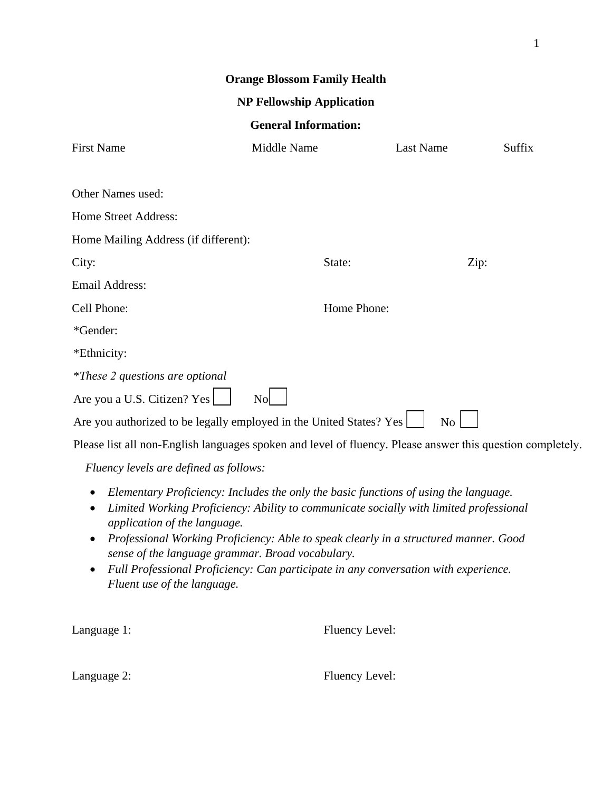| <b>Orange Blossom Family Health</b>                                                                        |                                                                                                                                                                                                                                                                                                                                                                                                                   |                  |               |  |  |  |
|------------------------------------------------------------------------------------------------------------|-------------------------------------------------------------------------------------------------------------------------------------------------------------------------------------------------------------------------------------------------------------------------------------------------------------------------------------------------------------------------------------------------------------------|------------------|---------------|--|--|--|
| <b>NP Fellowship Application</b>                                                                           |                                                                                                                                                                                                                                                                                                                                                                                                                   |                  |               |  |  |  |
| <b>General Information:</b>                                                                                |                                                                                                                                                                                                                                                                                                                                                                                                                   |                  |               |  |  |  |
| <b>First Name</b>                                                                                          | Middle Name                                                                                                                                                                                                                                                                                                                                                                                                       | <b>Last Name</b> | <b>Suffix</b> |  |  |  |
| Other Names used:                                                                                          |                                                                                                                                                                                                                                                                                                                                                                                                                   |                  |               |  |  |  |
| Home Street Address:                                                                                       |                                                                                                                                                                                                                                                                                                                                                                                                                   |                  |               |  |  |  |
| Home Mailing Address (if different):                                                                       |                                                                                                                                                                                                                                                                                                                                                                                                                   |                  |               |  |  |  |
| City:                                                                                                      | State:                                                                                                                                                                                                                                                                                                                                                                                                            |                  | Zip:          |  |  |  |
| <b>Email Address:</b>                                                                                      |                                                                                                                                                                                                                                                                                                                                                                                                                   |                  |               |  |  |  |
| Cell Phone:                                                                                                | Home Phone:                                                                                                                                                                                                                                                                                                                                                                                                       |                  |               |  |  |  |
| *Gender:                                                                                                   |                                                                                                                                                                                                                                                                                                                                                                                                                   |                  |               |  |  |  |
| *Ethnicity:                                                                                                |                                                                                                                                                                                                                                                                                                                                                                                                                   |                  |               |  |  |  |
| <i>*These 2 questions are optional</i>                                                                     |                                                                                                                                                                                                                                                                                                                                                                                                                   |                  |               |  |  |  |
| Are you a U.S. Citizen? Yes                                                                                | N <sub>o</sub>                                                                                                                                                                                                                                                                                                                                                                                                    |                  |               |  |  |  |
| Are you authorized to be legally employed in the United States? Yes<br>No                                  |                                                                                                                                                                                                                                                                                                                                                                                                                   |                  |               |  |  |  |
| Please list all non-English languages spoken and level of fluency. Please answer this question completely. |                                                                                                                                                                                                                                                                                                                                                                                                                   |                  |               |  |  |  |
| Fluency levels are defined as follows:                                                                     |                                                                                                                                                                                                                                                                                                                                                                                                                   |                  |               |  |  |  |
| ٠<br>application of the language.<br>$\bullet$<br>Fluent use of the language.                              | Elementary Proficiency: Includes the only the basic functions of using the language.<br>Limited Working Proficiency: Ability to communicate socially with limited professional<br>Professional Working Proficiency: Able to speak clearly in a structured manner. Good<br>sense of the language grammar. Broad vocabulary.<br>Full Professional Proficiency: Can participate in any conversation with experience. |                  |               |  |  |  |

Language 1: Fluency Level:

Language 2: Fluency Level: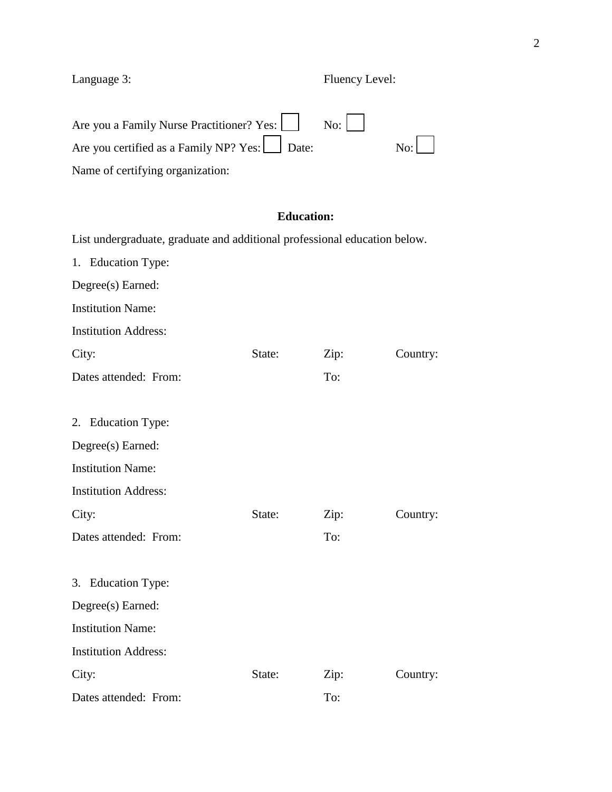Language 3: Fluency Level:

| Are you a Family Nurse Practitioner? Yes: $\begin{vmatrix} \cdot & \cdot & \cdot \\ \cdot & \cdot & \cdot \\ \cdot & \cdot & \cdot \end{vmatrix}$ |                |
|---------------------------------------------------------------------------------------------------------------------------------------------------|----------------|
| Are you certified as a Family NP? Yes: Date:                                                                                                      | $\mathbf{No:}$ |
| Name of certifying organization:                                                                                                                  |                |

# **Education:**

 $\overline{\phantom{a}}$ 

List undergraduate, graduate and additional professional education below. 1. Education Type: Degree(s) Earned: Institution Name: Institution Address: City: State: Zip: Country: Dates attended: From: To: 2. Education Type: Degree(s) Earned: Institution Name: Institution Address: City: State: Zip: Country: Dates attended: From: To: 3. Education Type: Degree(s) Earned: Institution Name: Institution Address: City: State: Zip: Country: Dates attended: From: To: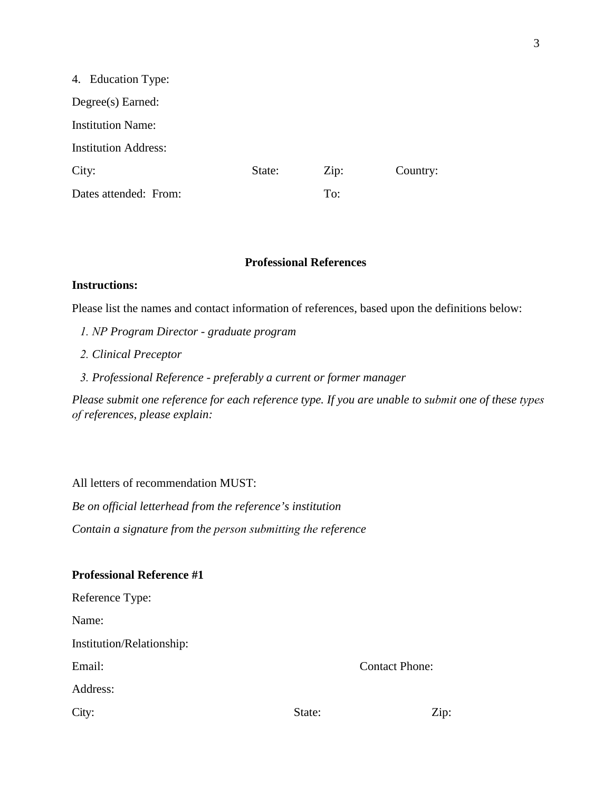| 4. Education Type:          |        |      |          |
|-----------------------------|--------|------|----------|
| $Degree(s)$ Earned:         |        |      |          |
| <b>Institution Name:</b>    |        |      |          |
| <b>Institution Address:</b> |        |      |          |
| City:                       | State: | Zip: | Country: |
| Dates attended: From:       |        | To:  |          |

#### **Professional References**

### **Instructions:**

Please list the names and contact information of references, based upon the definitions below:

- *1. NP Program Director graduate program*
- *2. Clinical Preceptor*
- *3. Professional Reference preferably a current or former manager*

*Please submit one reference for each reference type. If you are unable to submit one of these types of references, please explain:* 

All letters of recommendation MUST:

*Be on official letterhead from the reference's institution Contain a signature from the person submitting the reference* 

## **Professional Reference #1**

| Reference Type:           |        |                       |
|---------------------------|--------|-----------------------|
| Name:                     |        |                       |
| Institution/Relationship: |        |                       |
| Email:                    |        | <b>Contact Phone:</b> |
| Address:                  |        |                       |
| City:                     | State: | Zip:                  |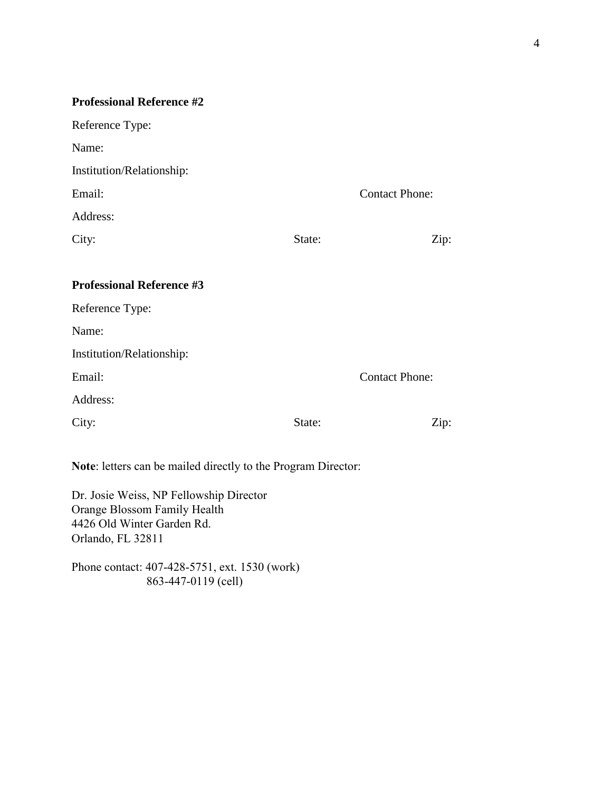| <b>Professional Reference #2</b>                              |        |                       |  |
|---------------------------------------------------------------|--------|-----------------------|--|
| Reference Type:                                               |        |                       |  |
| Name:                                                         |        |                       |  |
| Institution/Relationship:                                     |        |                       |  |
| Email:                                                        |        | <b>Contact Phone:</b> |  |
| Address:                                                      |        |                       |  |
| City:                                                         | State: | Zip:                  |  |
|                                                               |        |                       |  |
| <b>Professional Reference #3</b>                              |        |                       |  |
| Reference Type:                                               |        |                       |  |
| Name:                                                         |        |                       |  |
| Institution/Relationship:                                     |        |                       |  |
| Email:                                                        |        | <b>Contact Phone:</b> |  |
| Address:                                                      |        |                       |  |
| City:                                                         | State: | Zip:                  |  |
|                                                               |        |                       |  |
| Note: letters can be mailed directly to the Program Director: |        |                       |  |

Dr. Josie Weiss, NP Fellowship Director

Phone contact: 407-428-5751, ext. 1530 (work) 863-447-0119 (cell)

Orange Blossom Family Health 4426 Old Winter Garden Rd.

Orlando, FL 32811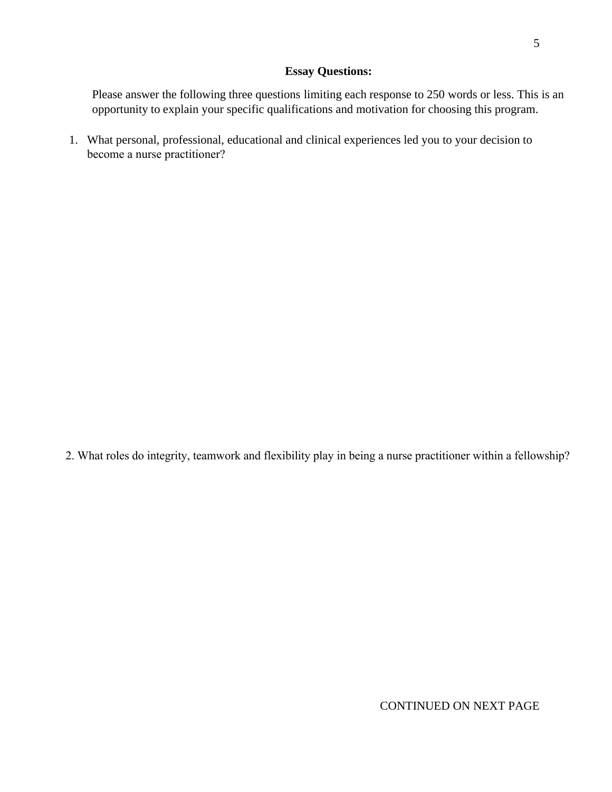## **Essay Questions:**

Please answer the following three questions limiting each response to 250 words or less. This is an opportunity to explain your specific qualifications and motivation for choosing this program.

1. What personal, professional, educational and clinical experiences led you to your decision to become a nurse practitioner?

2. What roles do integrity, teamwork and flexibility play in being a nurse practitioner within a fellowship?

CONTINUED ON NEXT PAGE